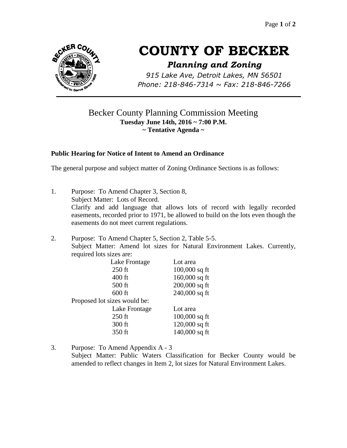

# **COUNTY OF BECKER**

# *Planning and Zoning*

*915 Lake Ave, Detroit Lakes, MN 56501 Phone: 218-846-7314 ~ Fax: 218-846-7266*

# Becker County Planning Commission Meeting **Tuesday June 14th, 2016 ~ 7:00 P.M. ~ Tentative Agenda ~**

### **Public Hearing for Notice of Intent to Amend an Ordinance**

The general purpose and subject matter of Zoning Ordinance Sections is as follows:

1. Purpose: To Amend Chapter 3, Section 8, Subject Matter: Lots of Record. Clarify and add language that allows lots of record with legally recorded easements, recorded prior to 1971, be allowed to build on the lots even though the easements do not meet current regulations.

#### 2. Purpose: To Amend Chapter 5, Section 2, Table 5-5. Subject Matter: Amend lot sizes for Natural Environment Lakes. Currently, required lots sizes are:

| Lake Frontage                | Lot area        |
|------------------------------|-----------------|
| $250$ ft                     | $100,000$ sq ft |
| 400 ft                       | 160,000 sq ft   |
| $500$ ft                     | 200,000 sq ft   |
| $600$ ft                     | $240,000$ sq ft |
| Proposed lot sizes would be: |                 |
| Lake Frontage                | Lot area        |
| $250$ ft                     | $100,000$ sq ft |
| 300 ft                       | 120,000 sq ft   |
| 350 ft                       | $140,000$ sq ft |

3. Purpose: To Amend Appendix A - 3

Subject Matter: Public Waters Classification for Becker County would be amended to reflect changes in Item 2, lot sizes for Natural Environment Lakes.